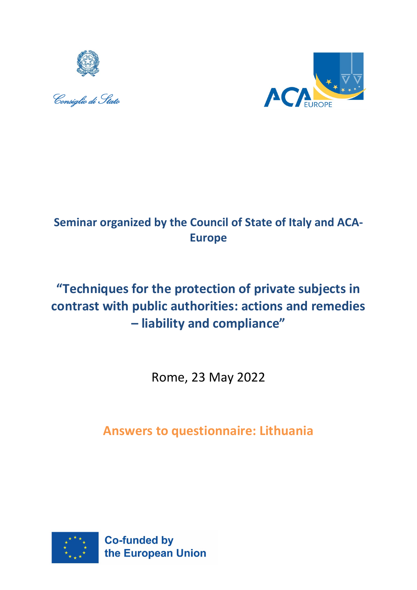





## **Seminar organized by the Council of State of Italy and ACA-Europe**

# **"Techniques for the protection of private subjects in contrast with public authorities: actions and remedies – liability and compliance"**

Rome, 23 May 2022

**Answers to questionnaire: Lithuania**

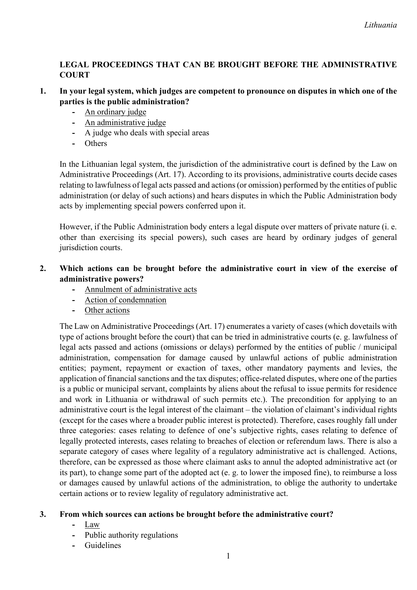## **LEGAL PROCEEDINGS THAT CAN BE BROUGHT BEFORE THE ADMINISTRATIVE COURT**

- **1. In your legal system, which judges are competent to pronounce on disputes in which one of the parties is the public administration?**
	- **-** An ordinary judge
	- **-** An administrative judge
	- **-** A judge who deals with special areas
	- **-** Others

In the Lithuanian legal system, the jurisdiction of the administrative court is defined by the Law on Administrative Proceedings (Art. 17). According to its provisions, administrative courts decide cases relating to lawfulness of legal acts passed and actions (or omission) performed by the entities of public administration (or delay of such actions) and hears disputes in which the Public Administration body acts by implementing special powers conferred upon it.

However, if the Public Administration body enters a legal dispute over matters of private nature (i. e. other than exercising its special powers), such cases are heard by ordinary judges of general jurisdiction courts.

## **2. Which actions can be brought before the administrative court in view of the exercise of administrative powers?**

- **-** Annulment of administrative acts
- **-** Action of condemnation
- **-** Other actions

The Law on Administrative Proceedings (Art. 17) enumerates a variety of cases (which dovetails with type of actions brought before the court) that can be tried in administrative courts (e. g. lawfulness of legal acts passed and actions (omissions or delays) performed by the entities of public / municipal administration, compensation for damage caused by unlawful actions of public administration entities; payment, repayment or exaction of taxes, other mandatory payments and levies, the application of financial sanctions and the tax disputes; office-related disputes, where one of the parties is a public or municipal servant, complaints by aliens about the refusal to issue permits for residence and work in Lithuania or withdrawal of such permits etc.). The precondition for applying to an administrative court is the legal interest of the claimant – the violation of claimant's individual rights (except for the cases where a broader public interest is protected). Therefore, cases roughly fall under three categories: cases relating to defence of one's subjective rights, cases relating to defence of legally protected interests, cases relating to breaches of election or referendum laws. There is also a separate category of cases where legality of a regulatory administrative act is challenged. Actions, therefore, can be expressed as those where claimant asks to annul the adopted administrative act (or its part), to change some part of the adopted act (e. g. to lower the imposed fine), to reimburse a loss or damages caused by unlawful actions of the administration, to oblige the authority to undertake certain actions or to review legality of regulatory administrative act.

## **3. From which sources can actions be brought before the administrative court?**

- **-** Law
- **-** Public authority regulations
- **-** Guidelines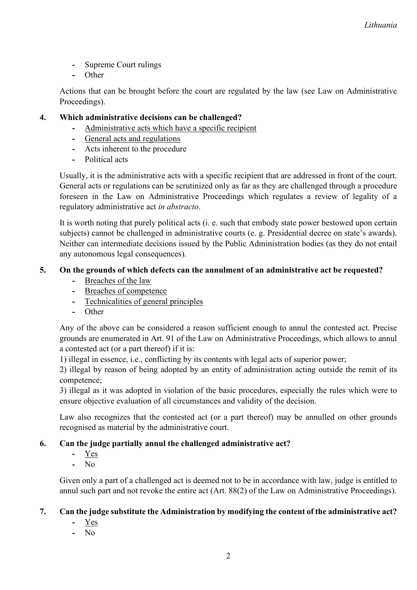- **-** Supreme Court rulings
- **-** Other

Actions that can be brought before the court are regulated by the law (see Law on Administrative Proceedings).

#### **4. Which administrative decisions can be challenged?**

- **-** Administrative acts which have a specific recipient
- **-** General acts and regulations
- **-** Acts inherent to the procedure
- **-** Political acts

Usually, it is the administrative acts with a specific recipient that are addressed in front of the court. General acts or regulations can be scrutinized only as far as they are challenged through a procedure foreseen in the Law on Administrative Proceedings which regulates a review of legality of a regulatory administrative act *in abstracto*.

It is worth noting that purely political acts (i. e. such that embody state power bestowed upon certain subjects) cannot be challenged in administrative courts (e. g. Presidential decree on state's awards). Neither can intermediate decisions issued by the Public Administration bodies (as they do not entail any autonomous legal consequences).

#### **5. On the grounds of which defects can the annulment of an administrative act be requested?**

- **-** Breaches of the law
- **-** Breaches of competence
- **-** Technicalities of general principles
- **-** Other

Any of the above can be considered a reason sufficient enough to annul the contested act. Precise grounds are enumerated in Art. 91 of the Law on Administrative Proceedings, which allows to annul a contested act (or a part thereof) if it is:

1) illegal in essence, i.e., conflicting by its contents with legal acts of superior power;

2) illegal by reason of being adopted by an entity of administration acting outside the remit of its competence;

3) illegal as it was adopted in violation of the basic procedures, especially the rules which were to ensure objective evaluation of all circumstances and validity of the decision.

Law also recognizes that the contested act (or a part thereof) may be annulled on other grounds recognised as material by the administrative court.

## **6. Can the judge partially annul the challenged administrative act?**

- **-** Yes
- **-** No

Given only a part of a challenged act is deemed not to be in accordance with law, judge is entitled to annul such part and not revoke the entire act (Art. 88(2) of the Law on Administrative Proceedings).

#### **7. Can the judge substitute the Administration by modifying the content of the administrative act?**

- **-** Yes
- **-** No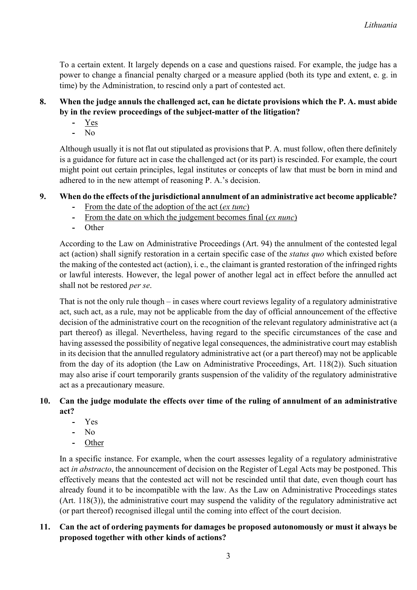To a certain extent. It largely depends on a case and questions raised. For example, the judge has a power to change a financial penalty charged or a measure applied (both its type and extent, e. g. in time) by the Administration, to rescind only a part of contested act.

## **8. When the judge annuls the challenged act, can he dictate provisions which the P. A. must abide by in the review proceedings of the subject-matter of the litigation?**

- **-** Yes
- **-** No

Although usually it is not flat out stipulated as provisions that P. A. must follow, often there definitely is a guidance for future act in case the challenged act (or its part) is rescinded. For example, the court might point out certain principles, legal institutes or concepts of law that must be born in mind and adhered to in the new attempt of reasoning P. A.'s decision.

## **9. When do the effects of the jurisdictional annulment of an administrative act become applicable?**

- **-** From the date of the adoption of the act (*ex tunc*)
- **-** From the date on which the judgement becomes final (*ex nunc*)
- **-** Other

According to the Law on Administrative Proceedings (Art. 94) the annulment of the contested legal act (action) shall signify restoration in a certain specific case of the *status quo* which existed before the making of the contested act (action), i. e., the claimant is granted restoration of the infringed rights or lawful interests. However, the legal power of another legal act in effect before the annulled act shall not be restored *per se*.

That is not the only rule though – in cases where court reviews legality of a regulatory administrative act, such act, as a rule, may not be applicable from the day of official announcement of the effective decision of the administrative court on the recognition of the relevant regulatory administrative act (a part thereof) as illegal. Nevertheless, having regard to the specific circumstances of the case and having assessed the possibility of negative legal consequences, the administrative court may establish in its decision that the annulled regulatory administrative act (or a part thereof) may not be applicable from the day of its adoption (the Law on Administrative Proceedings, Art. 118(2)). Such situation may also arise if court temporarily grants suspension of the validity of the regulatory administrative act as a precautionary measure.

## **10. Can the judge modulate the effects over time of the ruling of annulment of an administrative act?**

- **-** Yes
- **-** No
- **-** Other

In a specific instance. For example, when the court assesses legality of a regulatory administrative act *in abstracto*, the announcement of decision on the Register of Legal Acts may be postponed. This effectively means that the contested act will not be rescinded until that date, even though court has already found it to be incompatible with the law. As the Law on Administrative Proceedings states (Art. 118(3)), the administrative court may suspend the validity of the regulatory administrative act (or part thereof) recognised illegal until the coming into effect of the court decision.

## **11. Can the act of ordering payments for damages be proposed autonomously or must it always be proposed together with other kinds of actions?**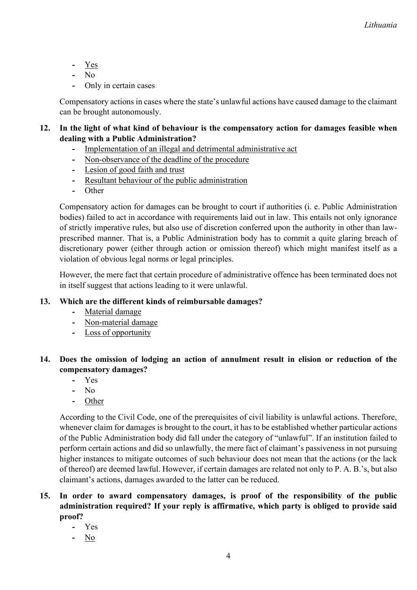**-** Yes

**-** No

**-** Only in certain cases

Compensatory actions in cases where the state's unlawful actions have caused damage to the claimant can be brought autonomously.

## **12. In the light of what kind of behaviour is the compensatory action for damages feasible when dealing with a Public Administration?**

- **-** Implementation of an illegal and detrimental administrative act
- **-** Non-observance of the deadline of the procedure
- **-** Lesion of good faith and trust
- **-** Resultant behaviour of the public administration
- **-** Other

Compensatory action for damages can be brought to court if authorities (i. e. Public Administration bodies) failed to act in accordance with requirements laid out in law. This entails not only ignorance of strictly imperative rules, but also use of discretion conferred upon the authority in other than lawprescribed manner. That is, a Public Administration body has to commit a quite glaring breach of discretionary power (either through action or omission thereof) which might manifest itself as a violation of obvious legal norms or legal principles.

However, the mere fact that certain procedure of administrative offence has been terminated does not in itself suggest that actions leading to it were unlawful.

## **13. Which are the different kinds of reimbursable damages?**

- **-** Material damage
- **-** Non-material damage
- **-** Loss of opportunity

## **14. Does the omission of lodging an action of annulment result in elision or reduction of the compensatory damages?**

- **-** Yes
- **-** No
- **-** Other

According to the Civil Code, one of the prerequisites of civil liability is unlawful actions. Therefore, whenever claim for damages is brought to the court, it has to be established whether particular actions of the Public Administration body did fall under the category of "unlawful". If an institution failed to perform certain actions and did so unlawfully, the mere fact of claimant's passiveness in not pursuing higher instances to mitigate outcomes of such behaviour does not mean that the actions (or the lack of thereof) are deemed lawful. However, if certain damages are related not only to P. A. B.'s, but also claimant's actions, damages awarded to the latter can be reduced.

## **15. In order to award compensatory damages, is proof of the responsibility of the public administration required? If your reply is affirmative, which party is obliged to provide said proof?**

- **-** Yes
- **-** No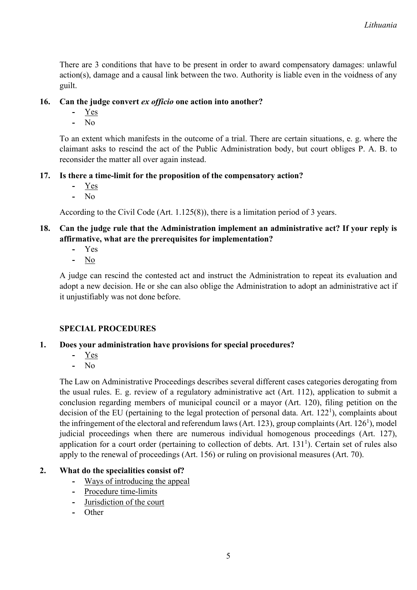There are 3 conditions that have to be present in order to award compensatory damages: unlawful action(s), damage and a causal link between the two. Authority is liable even in the voidness of any guilt.

#### **16. Can the judge convert** *ex officio* **one action into another?**

- **-** Yes
- **-** No

To an extent which manifests in the outcome of a trial. There are certain situations, e. g. where the claimant asks to rescind the act of the Public Administration body, but court obliges P. A. B. to reconsider the matter all over again instead.

#### **17. Is there a time-limit for the proposition of the compensatory action?**

- **-** Yes
- **-** No

According to the Civil Code (Art. 1.125(8)), there is a limitation period of 3 years.

## **18. Can the judge rule that the Administration implement an administrative act? If your reply is affirmative, what are the prerequisites for implementation?**

- **-** Yes
- **-** No

A judge can rescind the contested act and instruct the Administration to repeat its evaluation and adopt a new decision. He or she can also oblige the Administration to adopt an administrative act if it unjustifiably was not done before.

#### **SPECIAL PROCEDURES**

#### **1. Does your administration have provisions for special procedures?**

- **-** Yes
- **-** No

The Law on Administrative Proceedings describes several different cases categories derogating from the usual rules. E. g. review of a regulatory administrative act (Art. 112), application to submit a conclusion regarding members of municipal council or a mayor (Art. 120), filing petition on the decision of the EU (pertaining to the legal protection of personal data. Art.  $122<sup>1</sup>$ ), complaints about the infringement of the electoral and referendum laws (Art. 123), group complaints (Art. 126<sup>1</sup>), model judicial proceedings when there are numerous individual homogenous proceedings (Art. 127), application for a court order (pertaining to collection of debts. Art.  $131<sup>1</sup>$ ). Certain set of rules also apply to the renewal of proceedings (Art. 156) or ruling on provisional measures (Art. 70).

#### **2. What do the specialities consist of?**

- **-** Ways of introducing the appeal
- **-** Procedure time-limits
- **-** Jurisdiction of the court
- **-** Other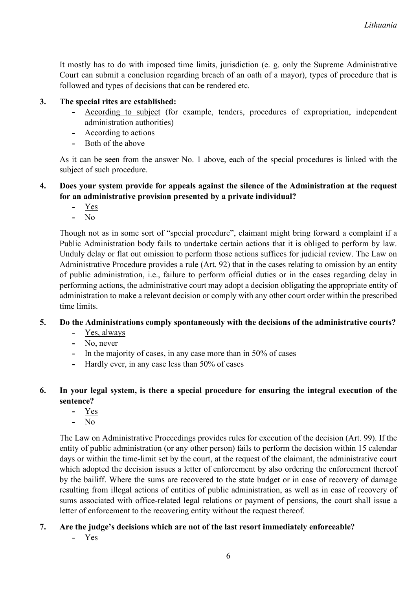It mostly has to do with imposed time limits, jurisdiction (e. g. only the Supreme Administrative Court can submit a conclusion regarding breach of an oath of a mayor), types of procedure that is followed and types of decisions that can be rendered etc.

#### **3. The special rites are established:**

- **-** According to subject (for example, tenders, procedures of expropriation, independent administration authorities)
- **-** According to actions
- **-** Both of the above

As it can be seen from the answer No. 1 above, each of the special procedures is linked with the subject of such procedure.

#### **4. Does your system provide for appeals against the silence of the Administration at the request for an administrative provision presented by a private individual?**

- **-** Yes
- **-** No

Though not as in some sort of "special procedure", claimant might bring forward a complaint if a Public Administration body fails to undertake certain actions that it is obliged to perform by law. Unduly delay or flat out omission to perform those actions suffices for judicial review. The Law on Administrative Procedure provides a rule (Art. 92) that in the cases relating to omission by an entity of public administration, i.e., failure to perform official duties or in the cases regarding delay in performing actions, the administrative court may adopt a decision obligating the appropriate entity of administration to make a relevant decision or comply with any other court order within the prescribed time limits.

#### **5. Do the Administrations comply spontaneously with the decisions of the administrative courts?**

- **-** Yes, always
- **-** No, never
- **-** In the majority of cases, in any case more than in 50% of cases
- **-** Hardly ever, in any case less than 50% of cases

#### **6. In your legal system, is there a special procedure for ensuring the integral execution of the sentence?**

- **-** Yes
- **-** No

The Law on Administrative Proceedings provides rules for execution of the decision (Art. 99). If the entity of public administration (or any other person) fails to perform the decision within 15 calendar days or within the time-limit set by the court, at the request of the claimant, the administrative court which adopted the decision issues a letter of enforcement by also ordering the enforcement thereof by the bailiff. Where the sums are recovered to the state budget or in case of recovery of damage resulting from illegal actions of entities of public administration, as well as in case of recovery of sums associated with office-related legal relations or payment of pensions, the court shall issue a letter of enforcement to the recovering entity without the request thereof.

#### **7. Are the judge's decisions which are not of the last resort immediately enforceable?**

**-** Yes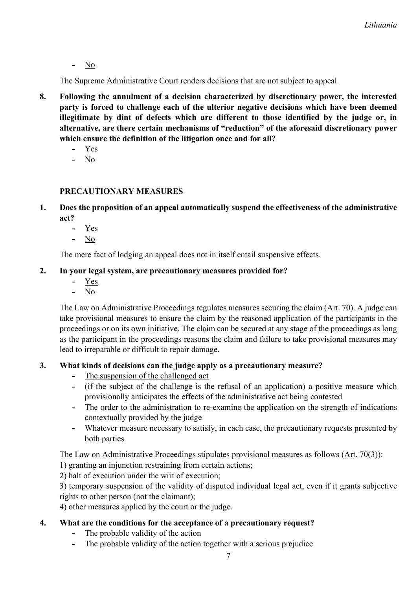**-** No

The Supreme Administrative Court renders decisions that are not subject to appeal.

- **8. Following the annulment of a decision characterized by discretionary power, the interested party is forced to challenge each of the ulterior negative decisions which have been deemed illegitimate by dint of defects which are different to those identified by the judge or, in alternative, are there certain mechanisms of "reduction" of the aforesaid discretionary power which ensure the definition of the litigation once and for all?**
	- **-** Yes
	- **-** No

## **PRECAUTIONARY MEASURES**

- **1. Does the proposition of an appeal automatically suspend the effectiveness of the administrative act?**
	- **-** Yes
	- **-** No

The mere fact of lodging an appeal does not in itself entail suspensive effects.

#### **2. In your legal system, are precautionary measures provided for?**

- **-** Yes
- **-** No

The Law on Administrative Proceedings regulates measures securing the claim (Art. 70). A judge can take provisional measures to ensure the claim by the reasoned application of the participants in the proceedings or on its own initiative. The claim can be secured at any stage of the proceedings as long as the participant in the proceedings reasons the claim and failure to take provisional measures may lead to irreparable or difficult to repair damage.

## **3. What kinds of decisions can the judge apply as a precautionary measure?**

- **-** The suspension of the challenged act
- **-** (if the subject of the challenge is the refusal of an application) a positive measure which provisionally anticipates the effects of the administrative act being contested
- **-** The order to the administration to re-examine the application on the strength of indications contextually provided by the judge
- **-** Whatever measure necessary to satisfy, in each case, the precautionary requests presented by both parties

The Law on Administrative Proceedings stipulates provisional measures as follows (Art. 70(3)):

- 1) granting an injunction restraining from certain actions;
- 2) halt of execution under the writ of execution;

3) temporary suspension of the validity of disputed individual legal act, even if it grants subjective rights to other person (not the claimant);

4) other measures applied by the court or the judge.

## **4. What are the conditions for the acceptance of a precautionary request?**

- **-** The probable validity of the action
- **-** The probable validity of the action together with a serious prejudice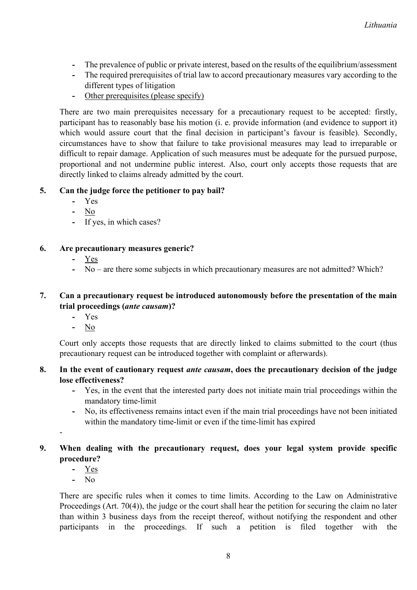- **-** The prevalence of public or private interest, based on the results of the equilibrium/assessment
- **-** The required prerequisites of trial law to accord precautionary measures vary according to the different types of litigation
- **-** Other prerequisites (please specify)

There are two main prerequisites necessary for a precautionary request to be accepted: firstly, participant has to reasonably base his motion (i. e. provide information (and evidence to support it) which would assure court that the final decision in participant's favour is feasible). Secondly, circumstances have to show that failure to take provisional measures may lead to irreparable or difficult to repair damage. Application of such measures must be adequate for the pursued purpose, proportional and not undermine public interest. Also, court only accepts those requests that are directly linked to claims already admitted by the court.

#### **5. Can the judge force the petitioner to pay bail?**

- **-** Yes
- **-** No
- **-** If yes, in which cases?

#### **6. Are precautionary measures generic?**

- **-** Yes
- **-** No are there some subjects in which precautionary measures are not admitted? Which?

#### **7. Can a precautionary request be introduced autonomously before the presentation of the main trial proceedings (***ante causam***)?**

- **-** Yes
- **-** No

Court only accepts those requests that are directly linked to claims submitted to the court (thus precautionary request can be introduced together with complaint or afterwards).

- **8. In the event of cautionary request** *ante causam***, does the precautionary decision of the judge lose effectiveness?**
	- **-** Yes, in the event that the interested party does not initiate main trial proceedings within the mandatory time-limit
	- **-** No, its effectiveness remains intact even if the main trial proceedings have not been initiated within the mandatory time-limit or even if the time-limit has expired
- **9. When dealing with the precautionary request, does your legal system provide specific procedure?**
	- **-** Yes

-

**-** No

There are specific rules when it comes to time limits. According to the Law on Administrative Proceedings (Art. 70(4)), the judge or the court shall hear the petition for securing the claim no later than within 3 business days from the receipt thereof, without notifying the respondent and other participants in the proceedings. If such a petition is filed together with the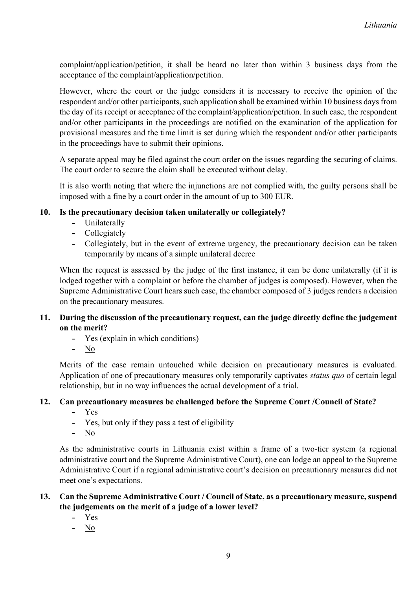complaint/application/petition, it shall be heard no later than within 3 business days from the acceptance of the complaint/application/petition.

However, where the court or the judge considers it is necessary to receive the opinion of the respondent and/or other participants, such application shall be examined within 10 business days from the day of its receipt or acceptance of the complaint/application/petition. In such case, the respondent and/or other participants in the proceedings are notified on the examination of the application for provisional measures and the time limit is set during which the respondent and/or other participants in the proceedings have to submit their opinions.

A separate appeal may be filed against the court order on the issues regarding the securing of claims. The court order to secure the claim shall be executed without delay.

It is also worth noting that where the injunctions are not complied with, the guilty persons shall be imposed with a fine by a court order in the amount of up to 300 EUR.

#### **10. Is the precautionary decision taken unilaterally or collegiately?**

- **-** Unilaterally
- **-** Collegiately
- **-** Collegiately, but in the event of extreme urgency, the precautionary decision can be taken temporarily by means of a simple unilateral decree

When the request is assessed by the judge of the first instance, it can be done unilaterally (if it is lodged together with a complaint or before the chamber of judges is composed). However, when the Supreme Administrative Court hears such case, the chamber composed of 3 judges renders a decision on the precautionary measures.

#### **11. During the discussion of the precautionary request, can the judge directly define the judgement on the merit?**

- **-** Yes (explain in which conditions)
- **-** No

Merits of the case remain untouched while decision on precautionary measures is evaluated. Application of one of precautionary measures only temporarily captivates *status quo* of certain legal relationship, but in no way influences the actual development of a trial.

#### **12. Can precautionary measures be challenged before the Supreme Court /Council of State?**

- **-** Yes
- **-** Yes, but only if they pass a test of eligibility
- **-** No

As the administrative courts in Lithuania exist within a frame of a two-tier system (a regional administrative court and the Supreme Administrative Court), one can lodge an appeal to the Supreme Administrative Court if a regional administrative court's decision on precautionary measures did not meet one's expectations.

#### **13. Can the Supreme Administrative Court / Council of State, as a precautionary measure, suspend the judgements on the merit of a judge of a lower level?**

- **-** Yes
- **-** No